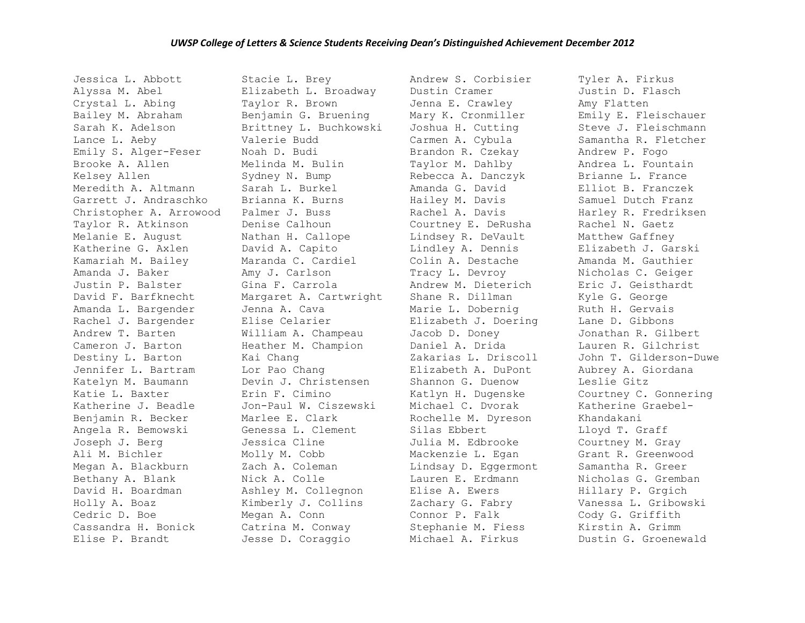Jessica L. Abbott Alyssa M. Abel Crystal L. Abing Bailey M. Abraham Sarah K. Adelson Lance L. Aeby Emily S. Alger-Feser Brooke A. Allen Kelsey Allen Meredith A. Altmann Garrett J. Andraschko Christopher A. Arrowood Taylor R. Atkinson Melanie E. August Katherine G. Axlen Kamariah M. Bailey Amanda J. Baker Justin P. Balster David F. Barfknecht Amanda L. Bargender Rachel J. Bargender Andrew T. Barten Cameron J. Barton Destiny L. Barton Jennifer L. Bartram Katelyn M. Baumann Katie L. Baxter Katherine J. Beadle Benjamin R. Becker Angela R. Bemowski Joseph J. Berg Ali M. Bichler Megan A. Blackburn Bethany A. Blank David H. Boardman Holly A. Boaz Cedric D. Boe Cassandra H. Bonick Elise P. Brandt

Stacie L. Brey Elizabeth L. Broadway Taylor R. Brown Benjamin G. Bruening Brittney L. Buchkowski Valerie Budd Noah D. Budi Melinda M. Bulin Sydney N. Bump Sarah L. Burkel Brianna K. Burns Palmer J. Buss Denise Calhoun Nathan H. Callope David A. Capito Maranda C. Cardiel Amy J. Carlson Gina F. Carrola Margaret A. Cartwright Jenna A. Cava Elise Celarier William A. Champeau Heather M. Champion Kai Chang Lor Pao Chang Devin J. Christensen Erin F. Cimino Jon-Paul W. Ciszewski Marlee E. Clark Genessa L. Clement Jessica Cline Molly M. Cobb Zach A. Coleman Nick A. Colle Ashley M. Collegnon Kimberly J. Collins Megan A. Conn Catrina M. Conway Jesse D. Coraggio

Andrew S. Corbisier Dustin Cramer Jenna E. Crawley Mary K. Cronmiller Joshua H. Cutting Carmen A. Cybula Brandon R. Czekay Taylor M. Dahlby Rebecca A. Danczyk Amanda G. David Hailey M. Davis Rachel A. Davis Courtney E. DeRusha Lindsey R. DeVault Lindley A. Dennis Colin A. Destache Tracy L. Devroy Andrew M. Dieterich Shane R. Dillman Marie L. Dobernig Elizabeth J. Doering Jacob D. Doney Daniel A. Drida Zakarias L. Driscoll Elizabeth A. DuPont Shannon G. Duenow Katlyn H. Dugenske Michael C. Dvorak Rochelle M. Dyreson Silas Ebbert Julia M. Edbrooke Mackenzie L. Egan Lindsay D. Eggermont Lauren E. Erdmann Elise A. Ewers Zachary G. Fabry Connor P. Falk Stephanie M. Fiess Michael A. Firkus

Tyler A. Firkus Justin D. Flasch Amy Flatten Emily E. Fleischauer Steve J. Fleischmann Samantha R. Fletcher Andrew P. Fogo Andrea L. Fountain Brianne L. France Elliot B. Franczek Samuel Dutch Franz Harley R. Fredriksen Rachel N. Gaetz Matthew Gaffney Elizabeth J. Garski Amanda M. Gauthier Nicholas C. Geiger Eric J. Geisthardt Kyle G. George Ruth H. Gervais Lane D. Gibbons Jonathan R. Gilbert Lauren R. Gilchrist John T. Gilderson-Duwe Aubrey A. Giordana Leslie Gitz Courtney C. Gonnering Katherine Graebel-Khandakani Lloyd T. Graff Courtney M. Gray Grant R. Greenwood Samantha R. Greer Nicholas G. Gremban Hillary P. Grgich Vanessa L. Gribowski Cody G. Griffith Kirstin A. Grimm Dustin G. Groenewald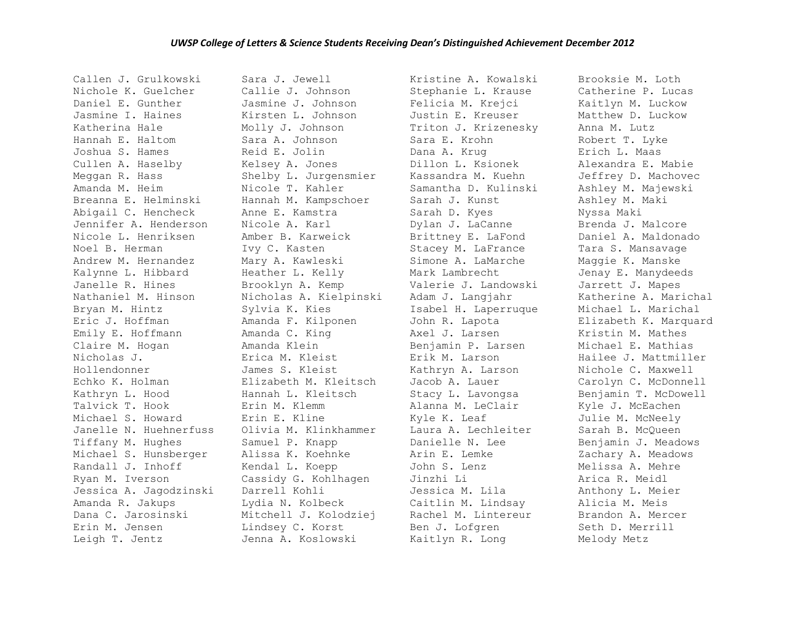Callen J. Grulkowski Nichole K. Guelcher Daniel E. Gunther Jasmine I. Haines Katherina Hale Hannah E. Haltom Joshua S. Hames Cullen A. Haselby Meggan R. Hass Amanda M. Heim Breanna E. Helminski Abigail C. Hencheck Jennifer A. Henderson Nicole L. Henriksen Noel B. Herman Andrew M. Hernandez Kalynne L. Hibbard Janelle R. Hines Nathaniel M. Hinson Bryan M. Hintz Eric J. Hoffman Emily E. Hoffmann Claire M. Hogan Nicholas J. Hollendonner Echko K. Holman Kathryn L. Hood Talvick T. Hook Michael S. Howard Janelle N. Huehnerfuss Tiffany M. Hughes Michael S. Hunsberger Randall J. Inhoff Ryan M. Iverson Jessica A. Jagodzinski Amanda R. Jakups Dana C. Jarosinski Erin M. Jensen Leigh T. Jentz

Sara J. Jewell Callie J. Johnson Jasmine J. Johnson Kirsten L. Johnson Molly J. Johnson Sara A. Johnson Reid E. Jolin Kelsey A. Jones Shelby L. Jurgensmier Nicole T. Kahler Hannah M. Kampschoer Anne E. Kamstra Nicole A. Karl Amber B. Karweick Ivy C. Kasten Mary A. Kawleski Heather L. Kelly Brooklyn A. Kemp Nicholas A. Kielpinski Sylvia K. Kies Amanda F. Kilponen Amanda C. King Amanda Klein Erica M. Kleist James S. Kleist Elizabeth M. Kleitsch Hannah L. Kleitsch Erin M. Klemm Erin E. Kline Olivia M. Klinkhammer Samuel P. Knapp Alissa K. Koehnke Kendal L. Koepp Cassidy G. Kohlhagen Darrell Kohli Lydia N. Kolbeck Mitchell J. Kolodziej Lindsey C. Korst Jenna A. Koslowski

Kristine A. Kowalski Stephanie L. Krause Felicia M. Krejci Justin E. Kreuser Triton J. Krizenesky Sara E. Krohn Dana A. Krug Dillon L. Ksionek Kassandra M. Kuehn Samantha D. Kulinski Sarah J. Kunst Sarah D. Kyes Dylan J. LaCanne Brittney E. LaFond Stacey M. LaFrance Simone A. LaMarche Mark Lambrecht Valerie J. Landowski Adam J. Langjahr Isabel H. Laperruque John R. Lapota Axel J. Larsen Benjamin P. Larsen Erik M. Larson Kathryn A. Larson Jacob A. Lauer Stacy L. Lavongsa Alanna M. LeClair Kyle K. Leaf Laura A. Lechleiter Danielle N. Lee Arin E. Lemke John S. Lenz Jinzhi Li Jessica M. Lila Caitlin M. Lindsay Rachel M. Lintereur Ben J. Lofgren Kaitlyn R. Long

Brooksie M. Loth Catherine P. Lucas Kaitlyn M. Luckow Matthew D. Luckow Anna M. Lutz Robert T. Lyke Erich L. Maas Alexandra E. Mabie Jeffrey D. Machovec Ashley M. Majewski Ashley M. Maki Nyssa Maki Brenda J. Malcore Daniel A. Maldonado Tara S. Mansavage Maggie K. Manske Jenay E. Manydeeds Jarrett J. Mapes Katherine A. Marichal Michael L. Marichal Elizabeth K. Marquard Kristin M. Mathes Michael E. Mathias Hailee J. Mattmiller Nichole C. Maxwell Carolyn C. McDonnell Benjamin T. McDowell Kyle J. McEachen Julie M. McNeely Sarah B. McQueen Benjamin J. Meadows Zachary A. Meadows Melissa A. Mehre Arica R. Meidl Anthony L. Meier Alicia M. Meis Brandon A. Mercer Seth D. Merrill Melody Metz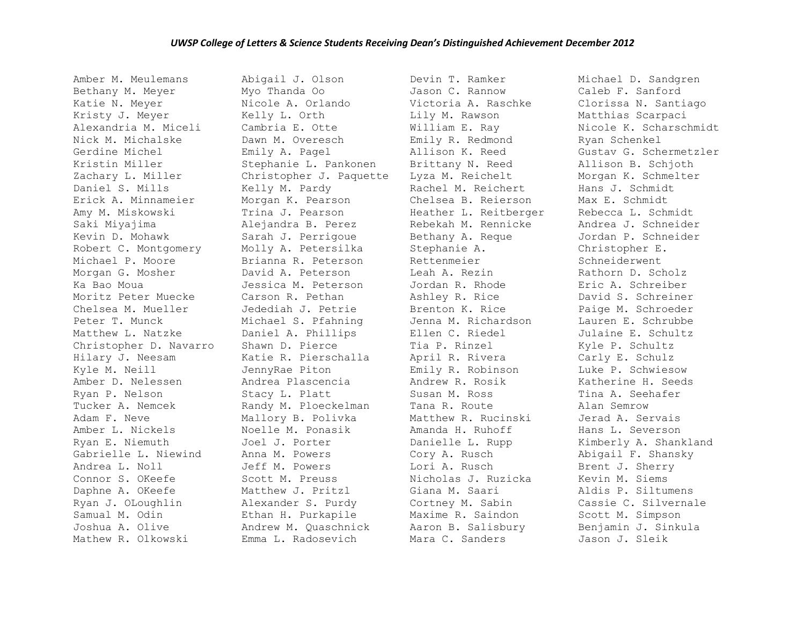Amber M. Meulemans Bethany M. Meyer Katie N. Meyer Kristy J. Meyer Alexandria M. Miceli Nick M. Michalske Gerdine Michel Kristin Miller Zachary L. Miller Daniel S. Mills Erick A. Minnameier Amy M. Miskowski Saki Miyajima Kevin D. Mohawk Robert C. Montgomery Michael P. Moore Morgan G. Mosher Ka Bao Moua Moritz Peter Muecke Chelsea M. Mueller Peter T. Munck Matthew L. Natzke Christopher D. Navarro Hilary J. Neesam Kyle M. Neill Amber D. Nelessen Ryan P. Nelson Tucker A. Nemcek Adam F. Neve Amber L. Nickels Ryan E. Niemuth Gabrielle L. Niewind Andrea L. Noll Connor S. OKeefe Daphne A. OKeefe Ryan J. OLoughlin Samual M. Odin Joshua A. Olive Mathew R. Olkowski

Abigail J. Olson Myo Thanda Oo Nicole A. Orlando Kelly L. Orth Cambria E. Otte Dawn M. Overesch Emily A. Pagel Stephanie L. Pankonen Christopher J. Paquette Kelly M. Pardy Morgan K. Pearson Trina J. Pearson Alejandra B. Perez Sarah J. Perrigoue Molly A. Petersilka Brianna R. Peterson David A. Peterson Jessica M. Peterson Carson R. Pethan Jedediah J. Petrie Michael S. Pfahning Daniel A. Phillips Shawn D. Pierce Katie R. Pierschalla JennyRae Piton Andrea Plascencia Stacy L. Platt Randy M. Ploeckelman Mallory B. Polivka Noelle M. Ponasik Joel J. Porter Anna M. Powers Jeff M. Powers Scott M. Preuss Matthew J. Pritzl Alexander S. Purdy Ethan H. Purkapile Andrew M. Quaschnick Emma L. Radosevich

Devin T. Ramker Jason C. Rannow Victoria A. Raschke Lily M. Rawson William E. Ray Emily R. Redmond Allison K. Reed Brittany N. Reed Lyza M. Reichelt Rachel M. Reichert Chelsea B. Reierson Heather L. Reitberger Rebekah M. Rennicke Bethany A. Reque Stephanie A. Rettenmeier Leah A. Rezin Jordan R. Rhode Ashley R. Rice Brenton K. Rice Jenna M. Richardson Ellen C. Riedel Tia P. Rinzel April R. Rivera Emily R. Robinson Andrew R. Rosik Susan M. Ross Tana R. Route Matthew R. Rucinski Amanda H. Ruhoff Danielle L. Rupp Cory A. Rusch Lori A. Rusch Nicholas J. Ruzicka Giana M. Saari Cortney M. Sabin Maxime R. Saindon Aaron B. Salisbury Mara C. Sanders

Michael D. Sandgren Caleb F. Sanford Clorissa N. Santiago Matthias Scarpaci Nicole K. Scharschmidt Ryan Schenkel Gustav G. Schermetzler Allison B. Schjoth Morgan K. Schmelter Hans J. Schmidt Max E. Schmidt Rebecca L. Schmidt Andrea J. Schneider Jordan P. Schneider Christopher E. Schneiderwent Rathorn D. Scholz Eric A. Schreiber David S. Schreiner Paige M. Schroeder Lauren E. Schrubbe Julaine E. Schultz Kyle P. Schultz Carly E. Schulz Luke P. Schwiesow Katherine H. Seeds Tina A. Seehafer Alan Semrow Jerad A. Servais Hans L. Severson Kimberly A. Shankland Abigail F. Shansky Brent J. Sherry Kevin M. Siems Aldis P. Siltumens Cassie C. Silvernale Scott M. Simpson Benjamin J. Sinkula Jason J. Sleik